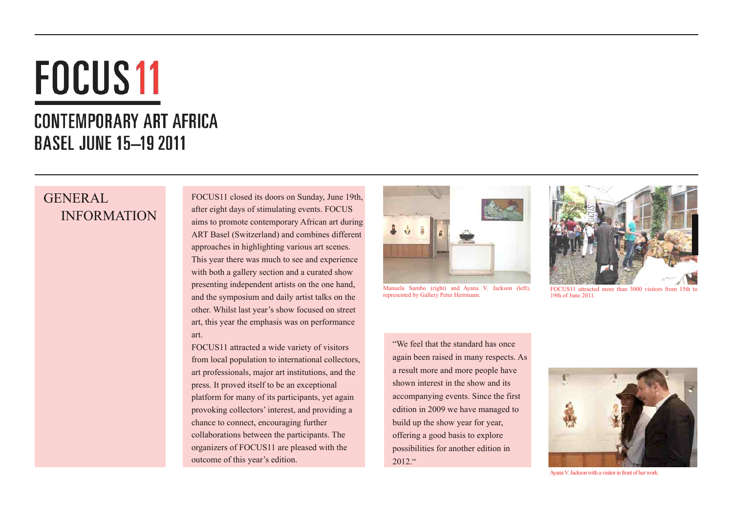# **FOCUS11**

## **CONTEMPORARY ART AFRICA BASEL JUNE 15-19 2011**

## GENERAL INFORMATION

FOCUS11 closed its doors on Sunday, June 19th, after eight days of stimulating events. FOCUS aims to promote contemporary African art during ART Basel (Switzerland) and combines different approaches in highlighting various art scenes. This year there was much to see and experience with both a gallery section and a curated show presenting independent artists on the one hand, and the symposium and daily artist talks on the other. Whilst last year's show focused on street art, this year the emphasis was on performance art.

FOCUS11 attracted a wide variety of visitors from local population to international collectors, art professionals, major art institutions, and the press. It proved itself to be an exceptional platform for many of its participants, yet again provoking collectors' interest, and providing a chance to connect, encouraging further collaborations between the participants. The organizers of FOCUS11 are pleased with the outcome of this year's edition.



Manuela Sambo (right) and Ayana V. Jackson (left), represented by Gallery Peter Herrmann.



FOCUS11 attracted more than 3000 visitors from 15th to 19th of June 2011.

"We feel that the standard has once again been raised in many respects. As a result more and more people have shown interest in the show and its accompanying events. Since the first edition in 2009 we have managed to build up the show year for year, offering a good basis to explore possibilities for another edition in  $2012$  "



Ayana V. Jackson with a visitor in front of her work.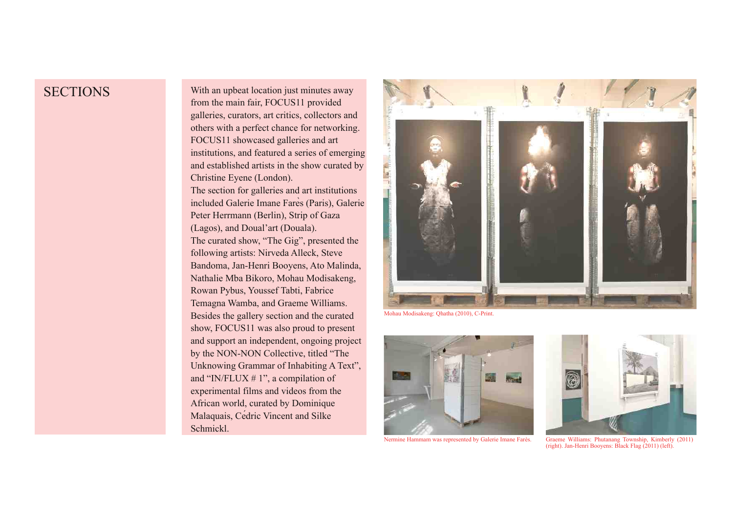#### **SECTIONS**

With an upbeat location just minutes away from the main fair, FOCUS11 provided galleries, curators, art critics, collectors and others with a perfect chance for networking. FOCUS11 showcased galleries and art institutions, and featured a series of emerging and established artists in the show curated by Christine Eyene (London). The section for galleries and art institutions included Galerie Imane Farès (Paris), Galerie Peter Herrmann (Berlin), Strip of Gaza (Lagos), and Doual'art (Douala). The curated show, "The Gig", presented the following artists: Nirveda Alleck, Steve Bandoma, Jan-Henri Booyens, Ato Malinda, Nathalie Mba Bikoro, Mohau Modisakeng, Rowan Pybus, Youssef Tabti, Fabrice Temagna Wamba, and Graeme Williams. Besides the gallery section and the curated show, FOCUS11 was also proud to present and support an independent, ongoing project by the NON-NON Collective, titled "The Unknowing Grammar of Inhabiting A Text", and "IN/FLUX # 1", a compilation of experimental films and videos from the African world, curated by Dominique Malaquais, Cédric Vincent and Silke Schmickl.



Mohau Modisakeng: Qhatha (2010), C-Print.



Nermine Hammam was represented by Galerie Imane Farès.



Graeme Williams: Phutanang Township, Kimberly (2011) (right). JanHenri Booyens: Black Flag (2011) (left).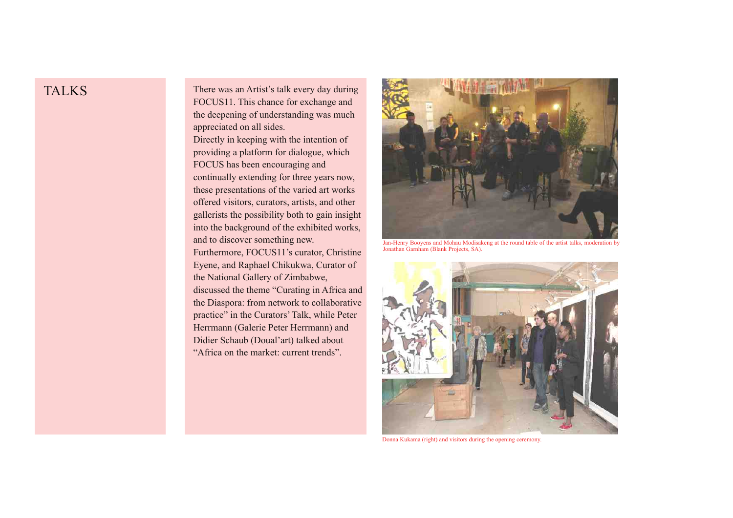## TALKS

There was an Artist's talk every day during FOCUS11. This chance for exchange and the deepening of understanding was much appreciated on all sides.

Directly in keeping with the intention of providing a platform for dialogue, which FOCUS has been encouraging and continually extending for three years now, these presentations of the varied art works offered visitors, curators, artists, and other gallerists the possibility both to gain insight into the background of the exhibited works, and to discover something new.

Furthermore, FOCUS11's curator, Christine Eyene, and Raphael Chikukwa, Curator of the National Gallery of Zimbabwe,

discussed the theme "Curating in Africa and the Diaspora: from network to collaborative practice" in the Curators' Talk, while Peter Herrmann (Galerie Peter Herrmann) and Didier Schaub (Doual'art) talked about "Africa on the market: current trends".



JanHenry Booyens and Mohau Modisakeng at the round table of the artist talks, moderation by Jonathan Garnham (Blank Projects, SA).



Donna Kukama (right) and visitors during the opening ceremony.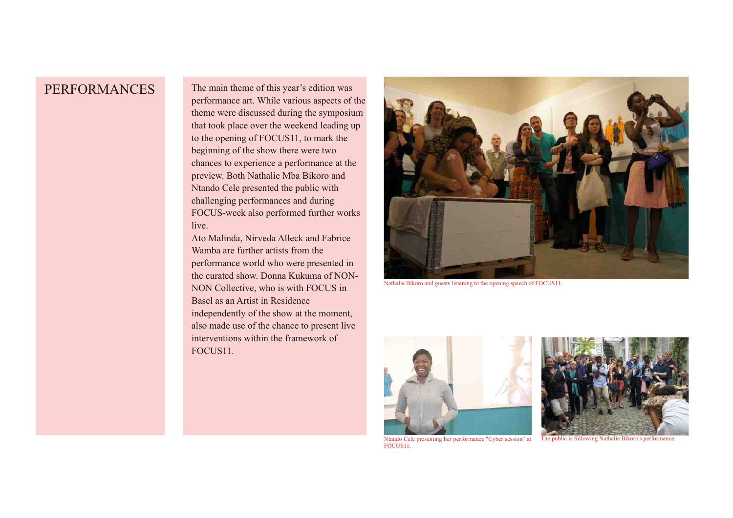#### PERFORMANCES

The main theme of this year's edition was performance art. While various aspects of the theme were discussed during the symposium that took place over the weekend leading up to the opening of FOCUS11, to mark the beginning of the show there were two chances to experience a performance at the preview. Both Nathalie Mba Bikoro and Ntando Cele presented the public with challenging performances and during FOCUS-week also performed further works live.

Ato Malinda, Nirveda Alleck and Fabrice Wamba are further artists from the performance world who were presented in the curated show. Donna Kukuma of NON-NON Collective, who is with FOCUS in Basel as an Artist in Residence independently of the show at the moment, also made use of the chance to present live interventions within the framework of FOCUS11.



Nathalie Bikoro and guests listening to the opening speech of FOCUS11.





FOCUS11.

Ntando Cele presenting her performance "Cyber session" at The public is following Nathalie Bikoro's performance.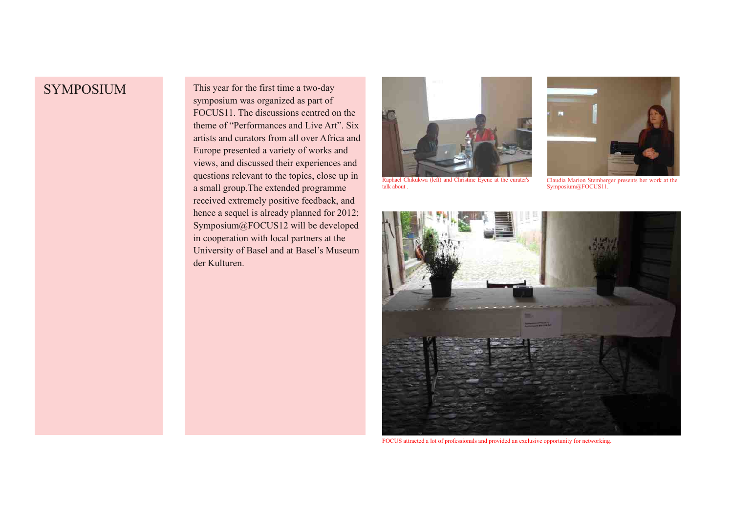SYMPOSIUM This year for the first time a two-day symposium was organized as part of FOCUS11. The discussions centred on the theme of "Performances and Live Art". Six artists and curators from all over Africa and Europe presented a variety of works and views, and discussed their experiences and questions relevant to the topics, close up in a small group.The extended programme received extremely positive feedback, and hence a sequel is already planned for 2012; Symposium@FOCUS12 will be developed in cooperation with local partners at the University of Basel and at Basel's Museum der Kulturen.



Raphael Chikukwa (left) and Christine Eyene at the curater's talk about .



Claudia Marion Stemberger presents her work at the Symposium@FOCUS11.



FOCUS attracted a lot of professionals and provided an exclusive opportunity for networking.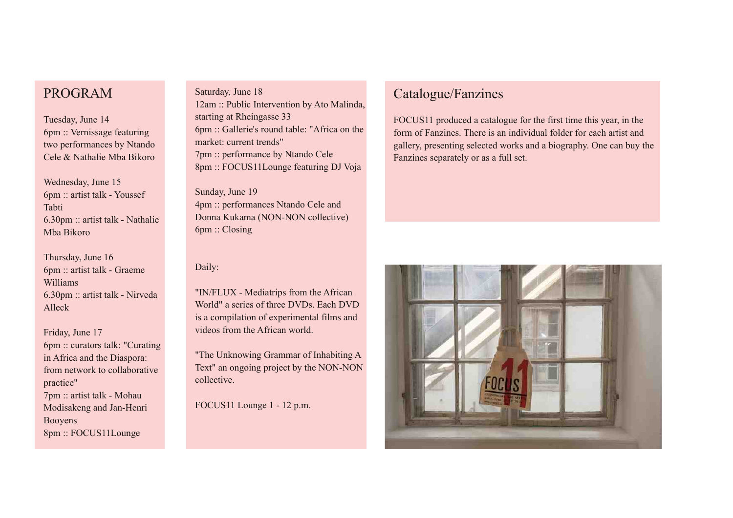#### PROGRAM

Tuesday, June 14 6pm :: Vernissage featuring two performances by Ntando Cele & Nathalie Mba Bikoro

Wednesday, June 15 6pm :: artist talk Youssef Tabti  $6.30 \text{pm}$  :: artist talk - Nathalie Mba Bikoro

Thursday, June 16 6pm :: artist talk Graeme Williams  $6.30$ pm :: artist talk - Nirveda Alleck

Friday, June 17 6pm :: curators talk: "Curating in Africa and the Diaspora: from network to collaborative practice" 7pm :: artist talk - Mohau Modisakeng and Jan-Henri Booyens 8pm :: FOCUS11Lounge

Saturday, June 18 12am :: Public Intervention by Ato Malinda, starting at Rheingasse 33 6pm :: Gallerie's round table: "Africa on the market: current trends" 7pm :: performance by Ntando Cele 8pm :: FOCUS11Lounge featuring DJ Voja

Sunday, June 19 4pm :: performances Ntando Cele and Donna Kukama (NON-NON collective) 6pm :: Closing

#### Daily:

"IN/FLUX - Mediatrips from the African World" a series of three DVDs. Each DVD is a compilation of experimental films and videos from the African world.

"The Unknowing Grammar of Inhabiting A Text" an ongoing project by the NON-NON collective.

FOCUS11 Lounge 1 - 12 p.m.

## Catalogue/Fanzines

FOCUS11 produced a catalogue for the first time this year, in the form of Fanzines. There is an individual folder for each artist and gallery, presenting selected works and a biography. One can buy the Fanzines separately or as a full set.

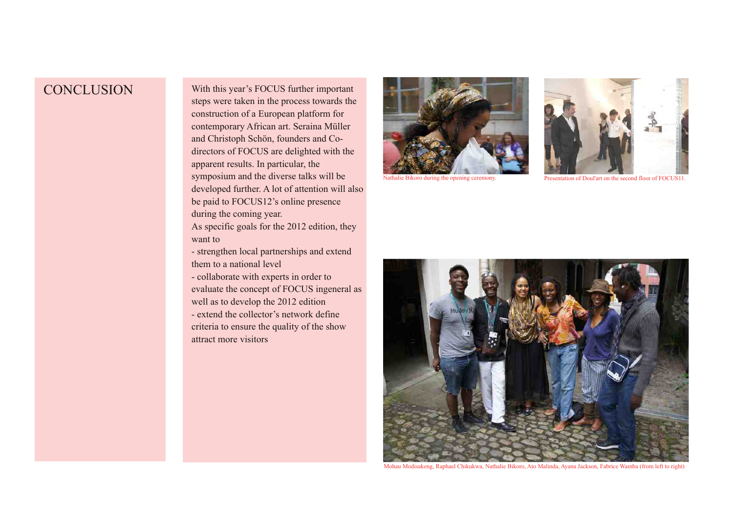## **CONCLUSION**

With this year's FOCUS further important steps were taken in the process towards the construction of a European platform for contemporary African art. Seraina Müller and Christoph Schön, founders and Codirectors of FOCUS are delighted with the apparent results. In particular, the symposium and the diverse talks will be developed further. A lot of attention will also be paid to FOCUS12's online presence during the coming year.

As specific goals for the 2012 edition, they want to

- strengthen local partnerships and extend them to a national level

 collaborate with experts in order to evaluate the concept of FOCUS ingeneral as well as to develop the 2012 edition

 extend the collector's network define criteria to ensure the quality of the show attract more visitors





Nathalie Bikoro during the opening ceremony. Presentation of Doul'art on the second floor of FOCUS11.



Mohau Modisakeng, Raphael Chikukwa, Nathalie Bikoro, Ato Malinda, Ayana Jackson, Fabrice Wamba (from left to right)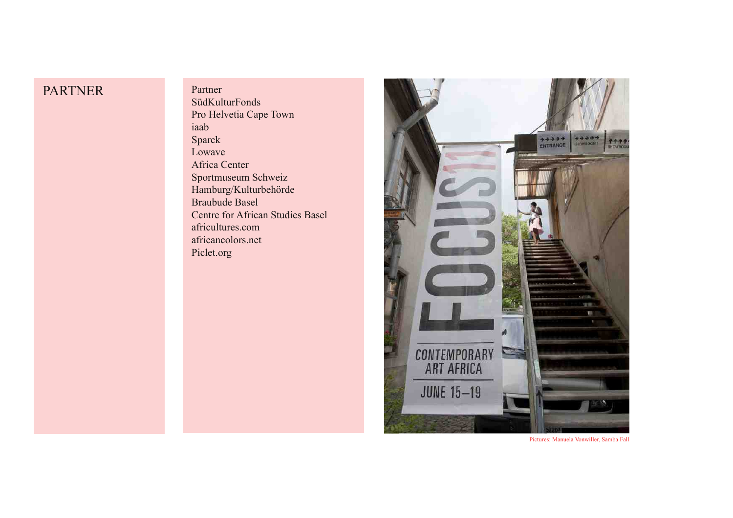## PARTNER

Partner SüdKulturFonds Pro Helvetia Cape Town iaab Sparck Lowave Africa Center Sportmuseum Schweiz Hamburg/Kulturbehörde Braubude Basel Centre for African Studies Basel africultures.com africancolors.net Piclet.org



Pictures: Manuela Vonwiller, Samba Fall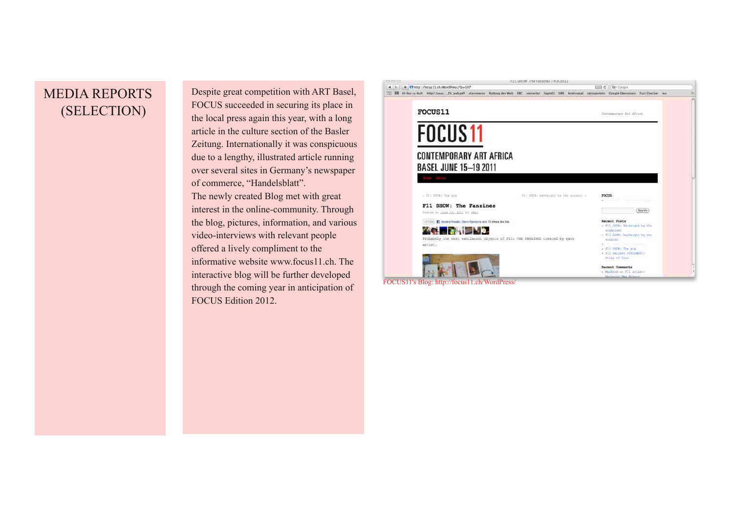## MEDIA REPORTS (SELECTION)

Despite great competition with ART Basel, FOCUS succeeded in securing its place in the local press again this year, with a long article in the culture section of the Basler Zeitung. Internationally it was conspicuous due to a lengthy, illustrated article running over several sites in Germany's newspaper of commerce, "Handelsblatt". The newly created Blog met with great interest in the online-community. Through the blog, pictures, information, and various video-interviews with relevant people offered a lively compliment to the informative website www.focus11.ch. The interactive blog will be further developed through the coming year in anticipation of FOCUS Edition 2012.



**RESARDANT ERROR BROOKS EPUGANEER** 

FOCUS11's Blog: http://focus11.ch/WordPress/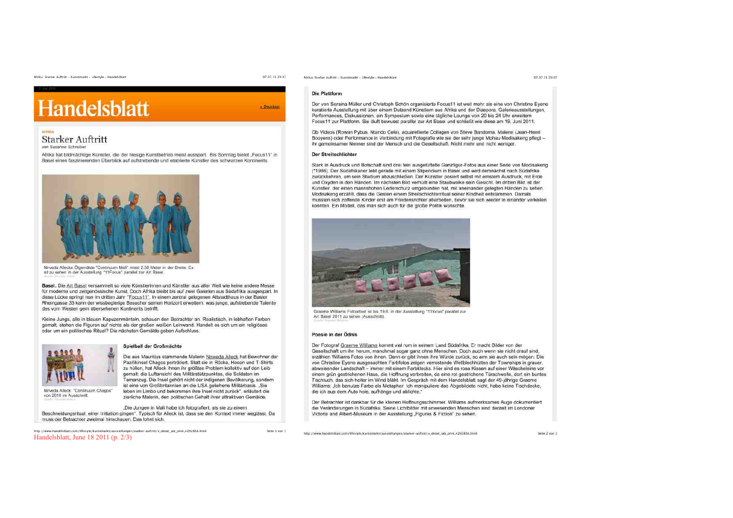# **Handelsblatt**

#### Starker Auftritt upe Cuonnan Debusitin

Afrika hat bildmächtige Künstler, die der hiesige Kunstbetrieb meist ausspart. Bis Sonntag bietet "Focus11" in Basel einen faszinierenden Überblick auf aufstrebende und etablierte Künstler des schwarzen Kontinents.



Nirveda Allecks Ölgemälde "Continuum Mall" misst 2.50 Meter in der Breite. Es ist zu sehen in der Ausstellung "11Focus" parallel zur Art Basel

Basel. Die Art Basel versammelt so viele Künstlerinnen und Künstler aus aller Welt wie keine andere Messe für moderne und zeitgenössische Kunst. Doch Afrika bleibt bis auf zwei Galerien aus Südafrika ausgespart. In diese Lücke springt nun im dritten Jahr "Focus11". In einem zentral gelegenen Altstadthaus in der Basler Rheingasse 33 kann der wissbegierige Besucher seinen Horizont erweitern, was junge, aufstrebende Talente des vom Westen gem übersehenen Kontinents betrifft.

Kleine Junos, alle in blauen Kapuzenmänteln, schauen den Betrachter an, Realistisch, in lebhaften Farben gemalt, stehen die Figuren auf nichts als der großen weißen Leinwand. Handelt es sich um ein religiöses oder um ein politisches Ritual? Die nächsten Gemälde geben Aufschluss.



von 2010 im Ausschnitt

Nirveda Alleck: "Continuum Chagos"

#### Spielball der Großmächte

Die aus Mauritius stammende Malerin Nirweda Alleck hat Bewohner der Pazifikinsel Chagos porträtiert. Statt sie in Röcke, Hosen und T-Shirts zu hüllen, hat Alleck ihnen ihr größtes Problem kollektiv auf den Leib gemalt: die Luftansicht des Militärstützpunktes, die Soldaten im Tarnanzug. Die Insel gehört nicht der indigenen Bevölkerung, sondern ist eine von Großbritannien an die USA geliehene Militärbasis. "Sie leben im Limbo und bekommen ihre Insel nicht zurück", erläutert die zierliche Malerin, den politischen Gehalt ihrer attraktiven Gemälde.

"Die Jungen in Mali habe ich fotografiert, als sie zu einem Beschneidungsritual, einer Initiation gingen". Typisch für Alleck ist, dass sie den Kontext immer weglässt. Da muss der Betrachter zweimal hinschauen. Das lohnt sich.

http://www.handelsblatt.com/lifestyle/kunstmarkt/ausstellungen/starker-auftritt/v\_detail\_tab\_print.4292838.html Handelsblatt, June 18 2011 (p. 2/3)

07.07.11.20:07 Afrika: Starker Auftritt - Kunstmarkt - Lifestyle - Handelsblatt

#### Die Plattform

 $=$  Oruckan

Seite 1 von 3

Der von Seraina Müller und Christoph Schön organisierte Focus11 ist weit mehr als eine von Christine Evene kuratierte Ausstellung mit über einem Dutzend Künstlern aus Afrika und der Diaspora. Galerieausstellungen, Performances, Diskussionen, ein Symposium sowie eine tägliche Lounge von 20 bis 24 Uhr erweitern Focus11 zur Plattform. Sie lauft bewusst parallel zur Art Basel und schließt wie diese am 19. Juni 2011.

Ob Videos (Rowan Pybus, Ntando Cele), aguarellierte Collagen von Steve Bandoma, Malerei (Jean-Henri Booyens) oder Performance in Verbindung mit Fotografie wie sie der sehr junge Mohau Modisakeng pflegtihr gemeinsamer Nenner sind der Mensch und die Gesellschaft. Nicht mehr und nicht weniger.

#### Der Streitschlichter

Stark in Ausdruck und Botschaft sind drei fein ausgetüftelte Ganzfigur-Fotos aus einer Serie von Modisakeng (\*1986). Der Südafrikaner lebt gerade mit einem Stipendium in Basel und wird demnächst nach Südafrika zurückkehren, um sein Studium abzuschließen. Der Künstler posiert selbst mit ernstem Ausdruck, mit Erde und Oxyden in den Händen. Im nächsten Bild verhüllt eine Staubwolke sein Gesicht. Im dritten Bild ist der Künstler, der einen mannshohen Lederschurz umgebunden hat, mit aneinander gelegten Händen zu sehen. Modisakeng erzählt, dass die Gesten einem Streitschlichterritual seiner Kindheit entstammen. Damals mussten sich zoffende Kinder erst am Friedensrichter abarbeiten, bevor sie sich wieder in einander verkeilen konnten. Ein Modell, das man sich auch für die große Politik wünschte.



Graeme Williams Fotoarbeit ist bis 19.6. in der Ausstellung "11focus" paratiel zur Art Basel 2011 zu sehen (Ausschnitt)

#### Poesie in der Ödnis

Der Fotograf Graeme Williams kommt viel rum in seinem Land Südafrika. Er macht Bilder von der Gesellschaft um ihn herum, manchmal sogar ganz ohne Menschen. Doch auch wenn sie nicht drauf sind, erzählen Williams Fotos von ihnen. Denn er gibt ihnen ihre Würde zurück, so arm sie auch sein mögen. Die von Christine Eyene ausgesüchten Farbfotos zeigen verrostende Wellblechhütten der Townships in grauer. abweisender Landschaft - immer mit einem Farbklecks. Hier sind es rosa Kissen auf einer Wäscheleine vor einem grün gestrichenen Haus, die Hoffnung verbreiten, da eine rot gestrichene Türschwelle, dort ein buntes Tischtuch, das sich heiter im Wind bläht. Im Gespräch mit dem Handelsblatt sagt der 49-jährige Graeme Williams: "Ich benutze Farbe als Metapher. Ich manipuliere das Abgebildete nicht, habe keine Tischdecke, die ich aus dem Auto hole, aufhänge und ablichte."

Der Betrachter ist dankbar für die kleinen Hoffnungsschimmer. Williams aufmerksames Auge dokumentiert die Veränderungen in Südafrika. Seine Lichtbilder mit anwesenden Menschen sind derzeit im Londoner Victoria and Albert-Museum in der Ausstellung "Figures & Fiction" zu sehen.

Seite 2 von 3